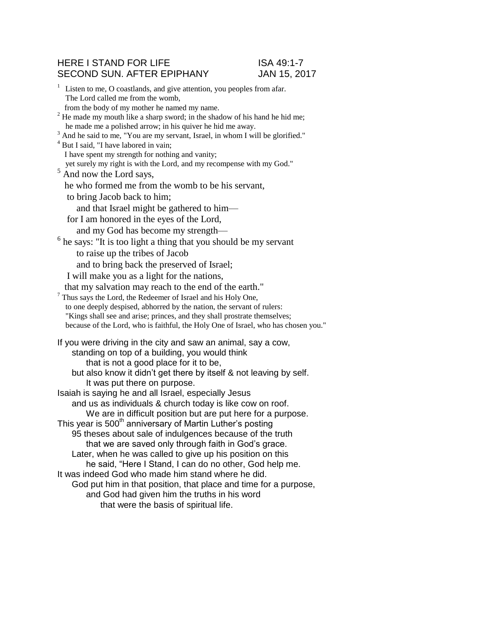## HERE I STAND FOR LIFE ISA 49:1-7 SECOND SUN. AFTER EPIPHANY JAN 15, 2017

<sup>1</sup> Listen to me, O coastlands, and give attention, you peoples from afar. The Lord called me from the womb, from the body of my mother he named my name.  $2$ <sup>2</sup> He made my mouth like a sharp sword; in the shadow of his hand he hid me; he made me a polished arrow; in his quiver he hid me away. <sup>3</sup> And he said to me, "You are my servant, Israel, in whom I will be glorified." <sup>4</sup> But I said, "I have labored in vain; I have spent my strength for nothing and vanity; yet surely my right is with the Lord, and my recompense with my God."  $<sup>5</sup>$  And now the Lord says,</sup> he who formed me from the womb to be his servant, to bring Jacob back to him; and that Israel might be gathered to him for I am honored in the eyes of the Lord, and my God has become my strength— <sup>6</sup>  $6$  he says: "It is too light a thing that you should be my servant to raise up the tribes of Jacob and to bring back the preserved of Israel; I will make you as a light for the nations, that my salvation may reach to the end of the earth." <sup>7</sup> Thus says the Lord, the Redeemer of Israel and his Holy One, to one deeply despised, abhorred by the nation, the servant of rulers: "Kings shall see and arise; princes, and they shall prostrate themselves; because of the Lord, who is faithful, the Holy One of Israel, who has chosen you." If you were driving in the city and saw an animal, say a cow, standing on top of a building, you would think that is not a good place for it to be, but also know it didn't get there by itself & not leaving by self. It was put there on purpose. Isaiah is saying he and all Israel, especially Jesus and us as individuals & church today is like cow on roof. We are in difficult position but are put here for a purpose. This year is  $500<sup>th</sup>$  anniversary of Martin Luther's posting 95 theses about sale of indulgences because of the truth that we are saved only through faith in God's grace. Later, when he was called to give up his position on this he said, "Here I Stand, I can do no other, God help me. It was indeed God who made him stand where he did. God put him in that position, that place and time for a purpose, and God had given him the truths in his word that were the basis of spiritual life.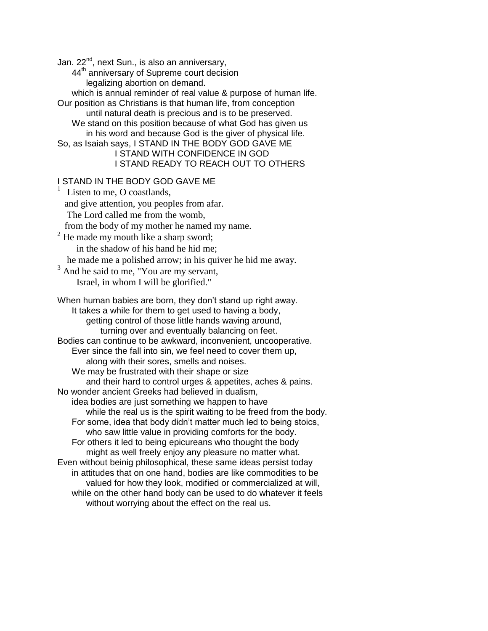Jan. 22<sup>nd</sup>, next Sun., is also an anniversary,

44<sup>th</sup> anniversary of Supreme court decision legalizing abortion on demand.

which is annual reminder of real value & purpose of human life.

Our position as Christians is that human life, from conception until natural death is precious and is to be preserved. We stand on this position because of what God has given us

in his word and because God is the giver of physical life. So, as Isaiah says, I STAND IN THE BODY GOD GAVE ME

I STAND WITH CONFIDENCE IN GOD I STAND READY TO REACH OUT TO OTHERS

## I STAND IN THE BODY GOD GAVE ME

<sup>1</sup> Listen to me, O coastlands, and give attention, you peoples from afar. The Lord called me from the womb, from the body of my mother he named my name. <sup>2</sup> He made my mouth like a sharp sword; in the shadow of his hand he hid me; he made me a polished arrow; in his quiver he hid me away.  $3$  And he said to me, "You are my servant, Israel, in whom I will be glorified." When human babies are born, they don't stand up right away. It takes a while for them to get used to having a body, getting control of those little hands waving around, turning over and eventually balancing on feet. Bodies can continue to be awkward, inconvenient, uncooperative. Ever since the fall into sin, we feel need to cover them up, along with their sores, smells and noises. We may be frustrated with their shape or size and their hard to control urges & appetites, aches & pains. No wonder ancient Greeks had believed in dualism, idea bodies are just something we happen to have while the real us is the spirit waiting to be freed from the body. For some, idea that body didn't matter much led to being stoics, who saw little value in providing comforts for the body. For others it led to being epicureans who thought the body might as well freely enjoy any pleasure no matter what. Even without beinig philosophical, these same ideas persist today in attitudes that on one hand, bodies are like commodities to be valued for how they look, modified or commercialized at will, while on the other hand body can be used to do whatever it feels without worrying about the effect on the real us.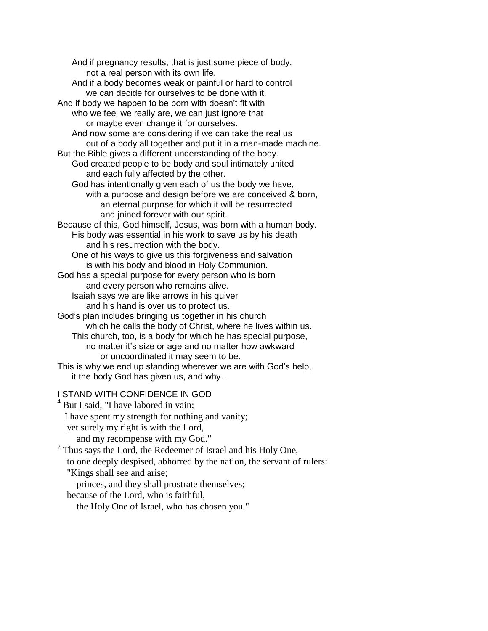And if pregnancy results, that is just some piece of body, not a real person with its own life. And if a body becomes weak or painful or hard to control we can decide for ourselves to be done with it. And if body we happen to be born with doesn't fit with who we feel we really are, we can just ignore that or maybe even change it for ourselves. And now some are considering if we can take the real us out of a body all together and put it in a man-made machine. But the Bible gives a different understanding of the body. God created people to be body and soul intimately united and each fully affected by the other. God has intentionally given each of us the body we have, with a purpose and design before we are conceived & born, an eternal purpose for which it will be resurrected and joined forever with our spirit. Because of this, God himself, Jesus, was born with a human body. His body was essential in his work to save us by his death and his resurrection with the body. One of his ways to give us this forgiveness and salvation is with his body and blood in Holy Communion. God has a special purpose for every person who is born and every person who remains alive. Isaiah says we are like arrows in his quiver and his hand is over us to protect us. God's plan includes bringing us together in his church which he calls the body of Christ, where he lives within us. This church, too, is a body for which he has special purpose, no matter it's size or age and no matter how awkward or uncoordinated it may seem to be. This is why we end up standing wherever we are with God's help, it the body God has given us, and why… I STAND WITH CONFIDENCE IN GOD  $<sup>4</sup>$  But I said, "I have labored in vain;</sup>

I have spent my strength for nothing and vanity; yet surely my right is with the Lord,

and my recompense with my God."

<sup>7</sup> Thus says the Lord, the Redeemer of Israel and his Holy One, to one deeply despised, abhorred by the nation, the servant of rulers: "Kings shall see and arise;

 princes, and they shall prostrate themselves; because of the Lord, who is faithful,

the Holy One of Israel, who has chosen you."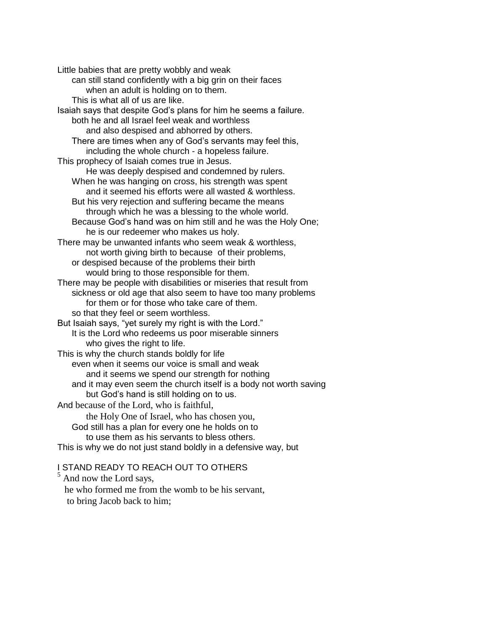Little babies that are pretty wobbly and weak can still stand confidently with a big grin on their faces when an adult is holding on to them. This is what all of us are like. Isaiah says that despite God's plans for him he seems a failure. both he and all Israel feel weak and worthless and also despised and abhorred by others. There are times when any of God's servants may feel this, including the whole church - a hopeless failure. This prophecy of Isaiah comes true in Jesus. He was deeply despised and condemned by rulers. When he was hanging on cross, his strength was spent and it seemed his efforts were all wasted & worthless. But his very rejection and suffering became the means through which he was a blessing to the whole world. Because God's hand was on him still and he was the Holy One; he is our redeemer who makes us holy. There may be unwanted infants who seem weak & worthless, not worth giving birth to because of their problems, or despised because of the problems their birth would bring to those responsible for them. There may be people with disabilities or miseries that result from sickness or old age that also seem to have too many problems for them or for those who take care of them. so that they feel or seem worthless. But Isaiah says, "yet surely my right is with the Lord." It is the Lord who redeems us poor miserable sinners who gives the right to life. This is why the church stands boldly for life even when it seems our voice is small and weak and it seems we spend our strength for nothing and it may even seem the church itself is a body not worth saving but God's hand is still holding on to us. And because of the Lord, who is faithful, the Holy One of Israel, who has chosen you, God still has a plan for every one he holds on to to use them as his servants to bless others. This is why we do not just stand boldly in a defensive way, but I STAND READY TO REACH OUT TO OTHERS

<sup>5</sup> And now the Lord says, he who formed me from the womb to be his servant, to bring Jacob back to him;